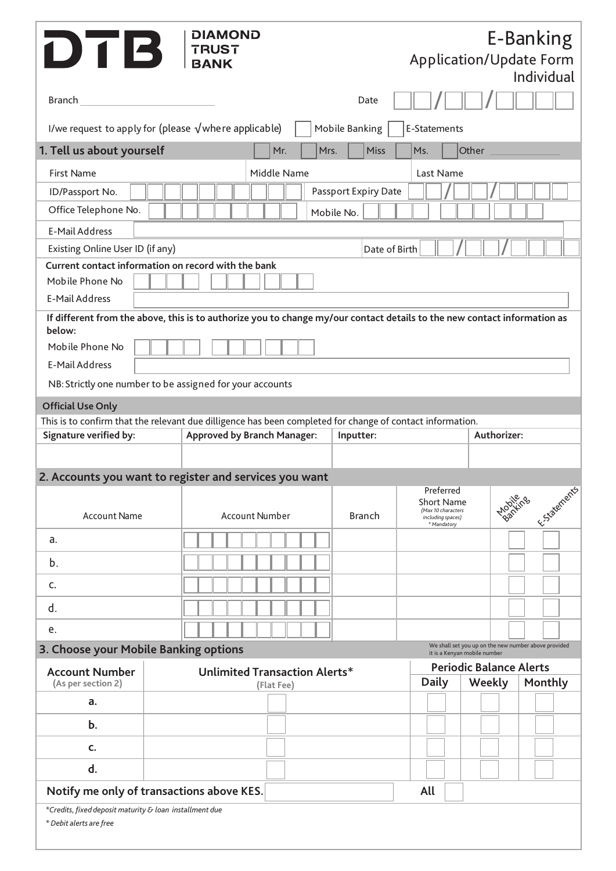| DTB FRUST                                                                                        | <b>DIAMOND</b>                                                                                                           |               | <b>Application/Update Form</b>                                                                         |                                                                                      | E-Banking<br>Individual |  |  |  |  |
|--------------------------------------------------------------------------------------------------|--------------------------------------------------------------------------------------------------------------------------|---------------|--------------------------------------------------------------------------------------------------------|--------------------------------------------------------------------------------------|-------------------------|--|--|--|--|
|                                                                                                  |                                                                                                                          | Date          |                                                                                                        |                                                                                      |                         |  |  |  |  |
| I/we request to apply for (please $\sqrt{ }$ where applicable)<br>Mobile Banking<br>E-Statements |                                                                                                                          |               |                                                                                                        |                                                                                      |                         |  |  |  |  |
| 1. Tell us about yourself                                                                        | Mr.                                                                                                                      | Miss<br>Mrs.  | Ms.                                                                                                    | Other                                                                                |                         |  |  |  |  |
| <b>First Name</b><br>Middle Name<br>Last Name                                                    |                                                                                                                          |               |                                                                                                        |                                                                                      |                         |  |  |  |  |
| Passport Expiry Date<br>ID/Passport No.                                                          |                                                                                                                          |               |                                                                                                        |                                                                                      |                         |  |  |  |  |
| Office Telephone No.                                                                             |                                                                                                                          | Mobile No.    |                                                                                                        |                                                                                      |                         |  |  |  |  |
| <b>E-Mail Address</b>                                                                            |                                                                                                                          |               |                                                                                                        |                                                                                      |                         |  |  |  |  |
| Existing Online User ID (if any)                                                                 |                                                                                                                          |               | Date of Birth                                                                                          |                                                                                      |                         |  |  |  |  |
| Current contact information on record with the bank                                              |                                                                                                                          |               |                                                                                                        |                                                                                      |                         |  |  |  |  |
| Mobile Phone No<br><b>E-Mail Address</b>                                                         |                                                                                                                          |               |                                                                                                        |                                                                                      |                         |  |  |  |  |
|                                                                                                  | If different from the above, this is to authorize you to change my/our contact details to the new contact information as |               |                                                                                                        |                                                                                      |                         |  |  |  |  |
| below:                                                                                           |                                                                                                                          |               |                                                                                                        |                                                                                      |                         |  |  |  |  |
| Mobile Phone No                                                                                  |                                                                                                                          |               |                                                                                                        |                                                                                      |                         |  |  |  |  |
| E-Mail Address                                                                                   |                                                                                                                          |               |                                                                                                        |                                                                                      |                         |  |  |  |  |
|                                                                                                  | NB: Strictly one number to be assigned for your accounts                                                                 |               |                                                                                                        |                                                                                      |                         |  |  |  |  |
| <b>Official Use Only</b>                                                                         |                                                                                                                          |               |                                                                                                        |                                                                                      |                         |  |  |  |  |
|                                                                                                  | This is to confirm that the relevant due dilligence has been completed for change of contact information.                |               |                                                                                                        |                                                                                      |                         |  |  |  |  |
| <b>Signature verified by:</b>                                                                    | <b>Approved by Branch Manager:</b>                                                                                       |               | Authorizer:<br>Inputter:                                                                               |                                                                                      |                         |  |  |  |  |
|                                                                                                  |                                                                                                                          |               |                                                                                                        |                                                                                      |                         |  |  |  |  |
|                                                                                                  | 2. Accounts you want to register and services you want                                                                   |               | Preferred                                                                                              |                                                                                      |                         |  |  |  |  |
| <b>Account Name</b>                                                                              | <b>Account Number</b>                                                                                                    | <b>Branch</b> | Estatements<br>Mobiling<br><b>Short Name</b><br>(Max 10 characters<br>including spaces)<br>* Mandatory |                                                                                      |                         |  |  |  |  |
| a.                                                                                               |                                                                                                                          |               |                                                                                                        |                                                                                      |                         |  |  |  |  |
| b.                                                                                               |                                                                                                                          |               |                                                                                                        |                                                                                      |                         |  |  |  |  |
| c.                                                                                               |                                                                                                                          |               |                                                                                                        |                                                                                      |                         |  |  |  |  |
| d.                                                                                               |                                                                                                                          |               |                                                                                                        |                                                                                      |                         |  |  |  |  |
| e.                                                                                               |                                                                                                                          |               |                                                                                                        |                                                                                      |                         |  |  |  |  |
| 3. Choose your Mobile Banking options                                                            |                                                                                                                          |               |                                                                                                        | We shall set you up on the new number above provided<br>it is a Kenyan mobile number |                         |  |  |  |  |
| <b>Account Number</b><br><b>Unlimited Transaction Alerts*</b>                                    |                                                                                                                          |               | <b>Periodic Balance Alerts</b>                                                                         |                                                                                      |                         |  |  |  |  |
| (As per section 2)                                                                               | (Flat Fee)                                                                                                               |               | <b>Daily</b>                                                                                           | Weekly                                                                               | Monthly                 |  |  |  |  |
| a.                                                                                               |                                                                                                                          |               |                                                                                                        |                                                                                      |                         |  |  |  |  |
| $b$ .                                                                                            |                                                                                                                          |               |                                                                                                        |                                                                                      |                         |  |  |  |  |
| C.                                                                                               |                                                                                                                          |               |                                                                                                        |                                                                                      |                         |  |  |  |  |
| d.                                                                                               |                                                                                                                          |               |                                                                                                        |                                                                                      |                         |  |  |  |  |
| Notify me only of transactions above KES.                                                        |                                                                                                                          |               | All                                                                                                    |                                                                                      |                         |  |  |  |  |
| *Credits, fixed deposit maturity & loan installment due<br>* Debit alerts are free               |                                                                                                                          |               |                                                                                                        |                                                                                      |                         |  |  |  |  |